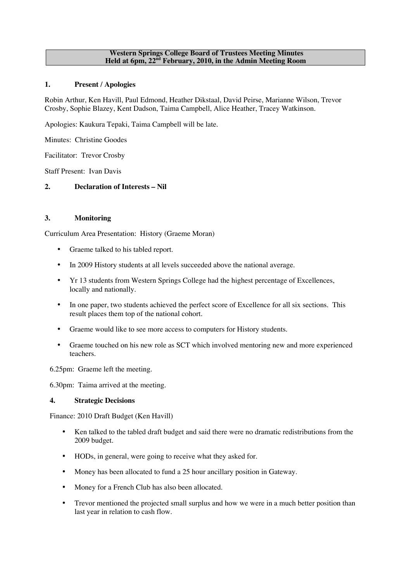#### **Western Springs College Board of Trustees Meeting Minutes Held at 6pm, 22nd February, 2010, in the Admin Meeting Room**

## **1. Present / Apologies**

Robin Arthur, Ken Havill, Paul Edmond, Heather Dikstaal, David Peirse, Marianne Wilson, Trevor Crosby, Sophie Blazey, Kent Dadson, Taima Campbell, Alice Heather, Tracey Watkinson.

Apologies: Kaukura Tepaki, Taima Campbell will be late.

Minutes: Christine Goodes

Facilitator: Trevor Crosby

Staff Present: Ivan Davis

# **2. Declaration of Interests – Nil**

## **3. Monitoring**

Curriculum Area Presentation: History (Graeme Moran)

- Graeme talked to his tabled report.
- In 2009 History students at all levels succeeded above the national average.
- Yr 13 students from Western Springs College had the highest percentage of Excellences, locally and nationally.
- In one paper, two students achieved the perfect score of Excellence for all six sections. This result places them top of the national cohort.
- Graeme would like to see more access to computers for History students.
- Graeme touched on his new role as SCT which involved mentoring new and more experienced teachers.

6.25pm: Graeme left the meeting.

6.30pm: Taima arrived at the meeting.

### **4. Strategic Decisions**

Finance: 2010 Draft Budget (Ken Havill)

- Ken talked to the tabled draft budget and said there were no dramatic redistributions from the 2009 budget.
- HODs, in general, were going to receive what they asked for.
- Money has been allocated to fund a 25 hour ancillary position in Gateway.
- Money for a French Club has also been allocated.
- Trevor mentioned the projected small surplus and how we were in a much better position than last year in relation to cash flow.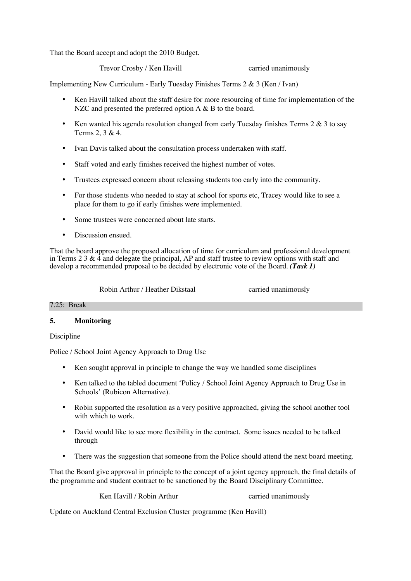That the Board accept and adopt the 2010 Budget.

Trevor Crosby / Ken Havill carried unanimously

Implementing New Curriculum - Early Tuesday Finishes Terms 2 & 3 (Ken / Ivan)

- Ken Havill talked about the staff desire for more resourcing of time for implementation of the NZC and presented the preferred option A & B to the board.
- Ken wanted his agenda resolution changed from early Tuesday finishes Terms  $2 \& 3$  to say Terms 2, 3 & 4.
- Ivan Davis talked about the consultation process undertaken with staff.
- Staff voted and early finishes received the highest number of votes.
- Trustees expressed concern about releasing students too early into the community.
- For those students who needed to stay at school for sports etc, Tracey would like to see a place for them to go if early finishes were implemented.
- Some trustees were concerned about late starts.
- Discussion ensued.

That the board approve the proposed allocation of time for curriculum and professional development in Terms 2 3  $\&$  4 and delegate the principal, AP and staff trustee to review options with staff and develop a recommended proposal to be decided by electronic vote of the Board. *(Task 1)*

Robin Arthur / Heather Dikstaal carried unanimously

### 7.25: Break

### **5. Monitoring**

Discipline

Police / School Joint Agency Approach to Drug Use

- Ken sought approval in principle to change the way we handled some disciplines
- Ken talked to the tabled document 'Policy / School Joint Agency Approach to Drug Use in Schools' (Rubicon Alternative).
- Robin supported the resolution as a very positive approached, giving the school another tool with which to work.
- David would like to see more flexibility in the contract. Some issues needed to be talked through
- There was the suggestion that someone from the Police should attend the next board meeting.

That the Board give approval in principle to the concept of a joint agency approach, the final details of the programme and student contract to be sanctioned by the Board Disciplinary Committee.

Ken Havill / Robin Arthur carried unanimously

Update on Auckland Central Exclusion Cluster programme (Ken Havill)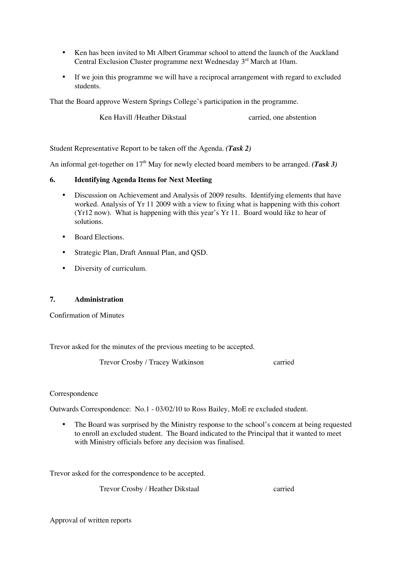- Ken has been invited to Mt Albert Grammar school to attend the launch of the Auckland Central Exclusion Cluster programme next Wednesday 3<sup>rd</sup> March at 10am.
- If we join this programme we will have a reciprocal arrangement with regard to excluded students.

That the Board approve Western Springs College's participation in the programme.

Ken Havill /Heather Dikstaal carried, one abstention

Student Representative Report to be taken off the Agenda. *(Task 2)*

An informal get-together on 17<sup>th</sup> May for newly elected board members to be arranged. *(Task 3)* 

### **6. Identifying Agenda Items for Next Meeting**

- Discussion on Achievement and Analysis of 2009 results. Identifying elements that have worked. Analysis of Yr 11 2009 with a view to fixing what is happening with this cohort (Yr12 now). What is happening with this year's Yr 11. Board would like to hear of solutions.
- Board Elections.
- Strategic Plan, Draft Annual Plan, and QSD.
- Diversity of curriculum.

## **7. Administration**

Confirmation of Minutes

Trevor asked for the minutes of the previous meeting to be accepted.

Trevor Crosby / Tracey Watkinson carried

### Correspondence

Outwards Correspondence: No.1 - 03/02/10 to Ross Bailey, MoE re excluded student.

The Board was surprised by the Ministry response to the school's concern at being requested to enroll an excluded student. The Board indicated to the Principal that it wanted to meet with Ministry officials before any decision was finalised.

Trevor asked for the correspondence to be accepted.

Trevor Crosby / Heather Dikstaal carried

Approval of written reports